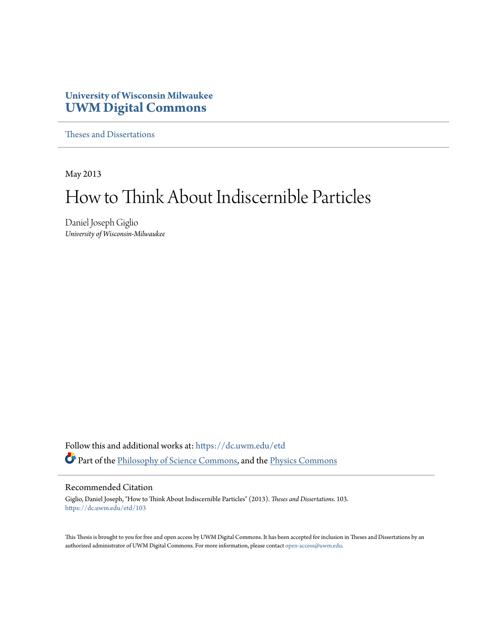## **University of Wisconsin Milwaukee [UWM Digital Commons](https://dc.uwm.edu/?utm_source=dc.uwm.edu%2Fetd%2F103&utm_medium=PDF&utm_campaign=PDFCoverPages)**

[Theses and Dissertations](https://dc.uwm.edu/etd?utm_source=dc.uwm.edu%2Fetd%2F103&utm_medium=PDF&utm_campaign=PDFCoverPages)

May 2013

# How to Think About Indiscernible Particles

Daniel Joseph Giglio *University of Wisconsin-Milwaukee*

Follow this and additional works at: [https://dc.uwm.edu/etd](https://dc.uwm.edu/etd?utm_source=dc.uwm.edu%2Fetd%2F103&utm_medium=PDF&utm_campaign=PDFCoverPages) Part of the [Philosophy of Science Commons,](http://network.bepress.com/hgg/discipline/536?utm_source=dc.uwm.edu%2Fetd%2F103&utm_medium=PDF&utm_campaign=PDFCoverPages) and the [Physics Commons](http://network.bepress.com/hgg/discipline/193?utm_source=dc.uwm.edu%2Fetd%2F103&utm_medium=PDF&utm_campaign=PDFCoverPages)

#### Recommended Citation

Giglio, Daniel Joseph, "How to Think About Indiscernible Particles" (2013). *Theses and Dissertations*. 103. [https://dc.uwm.edu/etd/103](https://dc.uwm.edu/etd/103?utm_source=dc.uwm.edu%2Fetd%2F103&utm_medium=PDF&utm_campaign=PDFCoverPages)

This Thesis is brought to you for free and open access by UWM Digital Commons. It has been accepted for inclusion in Theses and Dissertations by an authorized administrator of UWM Digital Commons. For more information, please contact [open-access@uwm.edu.](mailto:open-access@uwm.edu)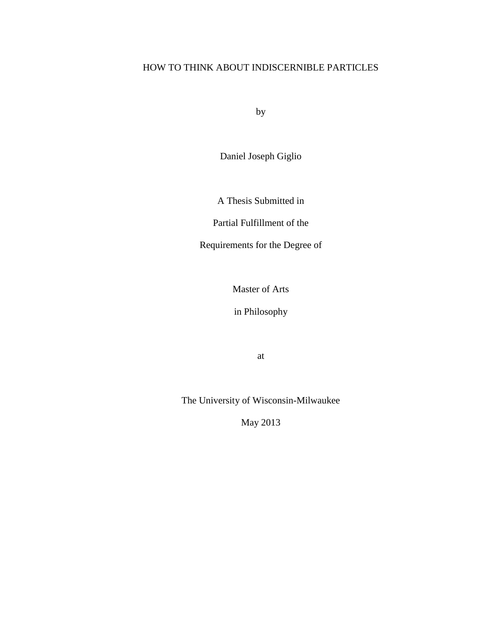## HOW TO THINK ABOUT INDISCERNIBLE PARTICLES

by

Daniel Joseph Giglio

A Thesis Submitted in

Partial Fulfillment of the

Requirements for the Degree of

Master of Arts

in Philosophy

at

The University of Wisconsin-Milwaukee

May 2013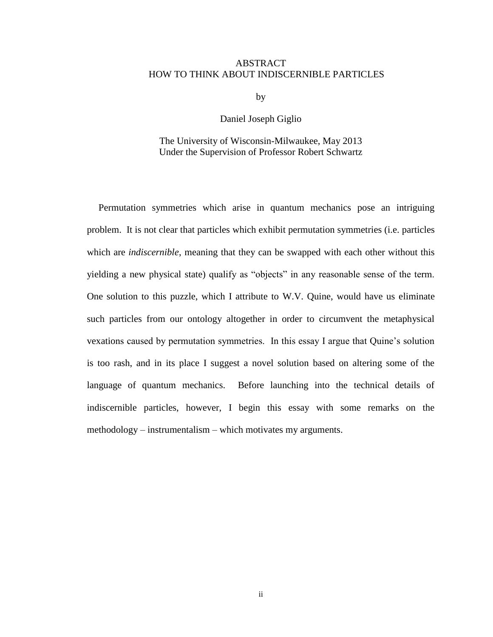#### ABSTRACT HOW TO THINK ABOUT INDISCERNIBLE PARTICLES

by

#### Daniel Joseph Giglio

#### The University of Wisconsin-Milwaukee, May 2013 Under the Supervision of Professor Robert Schwartz

Permutation symmetries which arise in quantum mechanics pose an intriguing problem. It is not clear that particles which exhibit permutation symmetries (i.e. particles which are *indiscernible*, meaning that they can be swapped with each other without this yielding a new physical state) qualify as "objects" in any reasonable sense of the term. One solution to this puzzle, which I attribute to W.V. Quine, would have us eliminate such particles from our ontology altogether in order to circumvent the metaphysical vexations caused by permutation symmetries. In this essay I argue that Quine's solution is too rash, and in its place I suggest a novel solution based on altering some of the language of quantum mechanics. Before launching into the technical details of indiscernible particles, however, I begin this essay with some remarks on the methodology – instrumentalism – which motivates my arguments.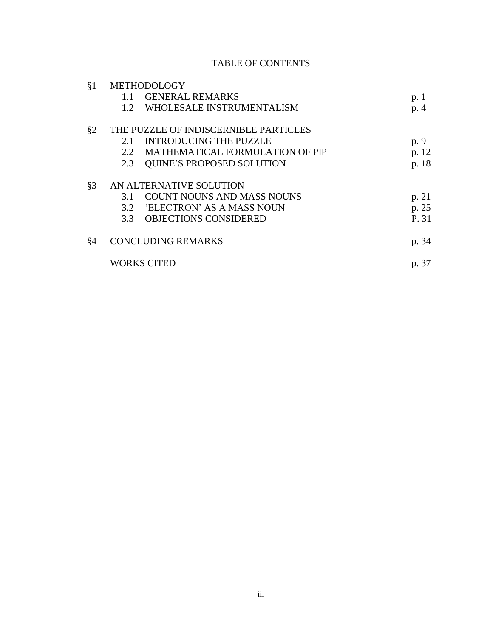## TABLE OF CONTENTS

| §1    | METHODOLOGY                           |                                   |       |
|-------|---------------------------------------|-----------------------------------|-------|
|       | 1.1                                   | <b>GENERAL REMARKS</b>            | p. 1  |
|       | $1.2^{\circ}$                         | WHOLESALE INSTRUMENTALISM         | p. 4  |
| §2    | THE PUZZLE OF INDISCERNIBLE PARTICLES |                                   |       |
|       | 2.1                                   | <b>INTRODUCING THE PUZZLE</b>     | p. 9  |
|       | 2.2.                                  | MATHEMATICAL FORMULATION OF PIP   | p. 12 |
|       | 2.3                                   | <b>QUINE'S PROPOSED SOLUTION</b>  | p. 18 |
| $§$ 3 | AN ALTERNATIVE SOLUTION               |                                   |       |
|       | 3.1                                   | <b>COUNT NOUNS AND MASS NOUNS</b> | p. 21 |
|       | 3.2                                   | 'ELECTRON' AS A MASS NOUN         | p. 25 |
|       | 3.3                                   | <b>OBJECTIONS CONSIDERED</b>      | P. 31 |
| §4    | <b>CONCLUDING REMARKS</b>             |                                   | p. 34 |
|       | <b>WORKS CITED</b>                    |                                   | p. 37 |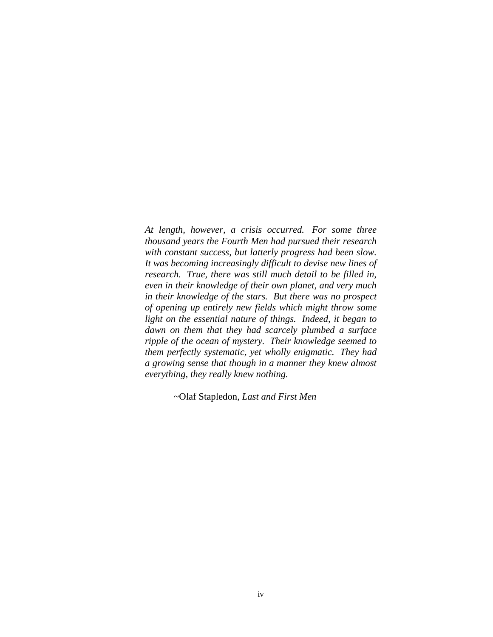*At length, however, a crisis occurred. For some three thousand years the Fourth Men had pursued their research with constant success, but latterly progress had been slow. It was becoming increasingly difficult to devise new lines of research. True, there was still much detail to be filled in, even in their knowledge of their own planet, and very much in their knowledge of the stars. But there was no prospect of opening up entirely new fields which might throw some light on the essential nature of things. Indeed, it began to dawn on them that they had scarcely plumbed a surface ripple of the ocean of mystery. Their knowledge seemed to them perfectly systematic, yet wholly enigmatic. They had a growing sense that though in a manner they knew almost everything, they really knew nothing.*

~Olaf Stapledon, *Last and First Men*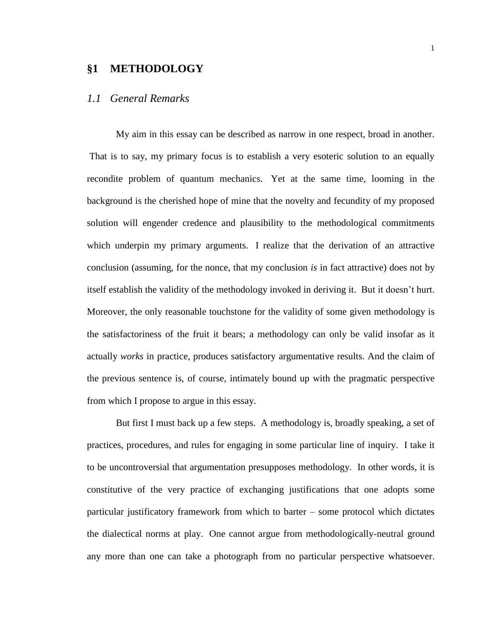#### **§1 METHODOLOGY**

#### *1.1 General Remarks*

My aim in this essay can be described as narrow in one respect, broad in another. That is to say, my primary focus is to establish a very esoteric solution to an equally recondite problem of quantum mechanics. Yet at the same time, looming in the background is the cherished hope of mine that the novelty and fecundity of my proposed solution will engender credence and plausibility to the methodological commitments which underpin my primary arguments. I realize that the derivation of an attractive conclusion (assuming, for the nonce, that my conclusion *is* in fact attractive) does not by itself establish the validity of the methodology invoked in deriving it. But it doesn't hurt. Moreover, the only reasonable touchstone for the validity of some given methodology is the satisfactoriness of the fruit it bears; a methodology can only be valid insofar as it actually *works* in practice, produces satisfactory argumentative results. And the claim of the previous sentence is, of course, intimately bound up with the pragmatic perspective from which I propose to argue in this essay.

But first I must back up a few steps. A methodology is, broadly speaking, a set of practices, procedures, and rules for engaging in some particular line of inquiry. I take it to be uncontroversial that argumentation presupposes methodology. In other words, it is constitutive of the very practice of exchanging justifications that one adopts some particular justificatory framework from which to barter – some protocol which dictates the dialectical norms at play. One cannot argue from methodologically-neutral ground any more than one can take a photograph from no particular perspective whatsoever.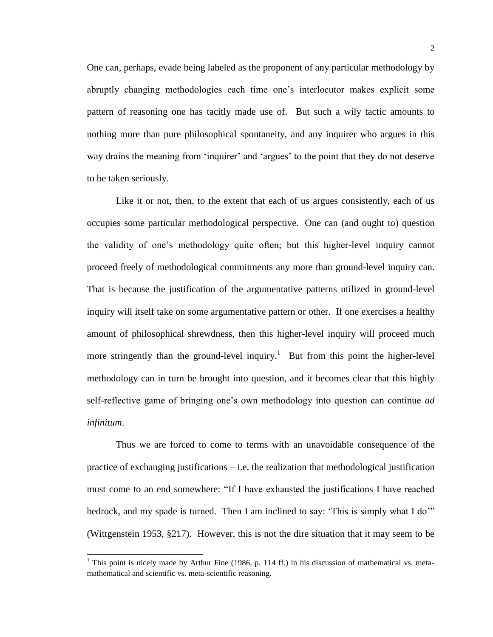One can, perhaps, evade being labeled as the proponent of any particular methodology by abruptly changing methodologies each time one's interlocutor makes explicit some pattern of reasoning one has tacitly made use of. But such a wily tactic amounts to nothing more than pure philosophical spontaneity, and any inquirer who argues in this way drains the meaning from 'inquirer' and 'argues' to the point that they do not deserve to be taken seriously.

Like it or not, then, to the extent that each of us argues consistently, each of us occupies some particular methodological perspective. One can (and ought to) question the validity of one's methodology quite often; but this higher-level inquiry cannot proceed freely of methodological commitments any more than ground-level inquiry can. That is because the justification of the argumentative patterns utilized in ground-level inquiry will itself take on some argumentative pattern or other. If one exercises a healthy amount of philosophical shrewdness, then this higher-level inquiry will proceed much more stringently than the ground-level inquiry.<sup>1</sup> But from this point the higher-level methodology can in turn be brought into question, and it becomes clear that this highly self-reflective game of bringing one's own methodology into question can continue *ad infinitum*.

Thus we are forced to come to terms with an unavoidable consequence of the practice of exchanging justifications – i.e. the realization that methodological justification must come to an end somewhere: "If I have exhausted the justifications I have reached bedrock, and my spade is turned. Then I am inclined to say: 'This is simply what I do'" (Wittgenstein 1953, §217). However, this is not the dire situation that it may seem to be

<sup>&</sup>lt;sup>1</sup> This point is nicely made by Arthur Fine (1986, p. 114 ff.) in his discussion of mathematical vs. metamathematical and scientific vs. meta-scientific reasoning.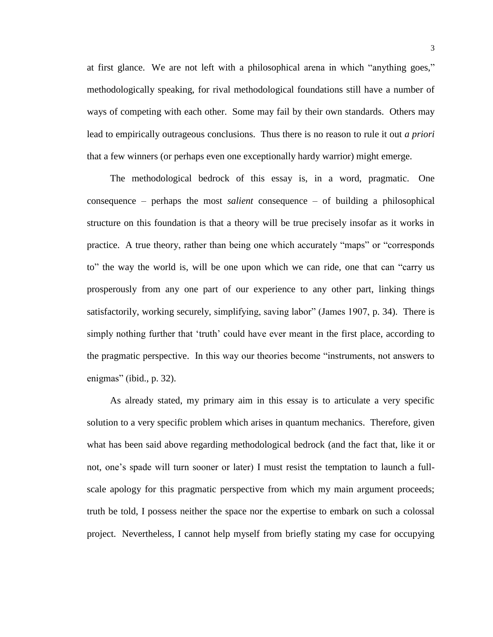at first glance. We are not left with a philosophical arena in which "anything goes," methodologically speaking, for rival methodological foundations still have a number of ways of competing with each other. Some may fail by their own standards. Others may lead to empirically outrageous conclusions. Thus there is no reason to rule it out *a priori* that a few winners (or perhaps even one exceptionally hardy warrior) might emerge.

The methodological bedrock of this essay is, in a word, pragmatic. One consequence – perhaps the most *salient* consequence – of building a philosophical structure on this foundation is that a theory will be true precisely insofar as it works in practice. A true theory, rather than being one which accurately "maps" or "corresponds to" the way the world is, will be one upon which we can ride, one that can "carry us prosperously from any one part of our experience to any other part, linking things satisfactorily, working securely, simplifying, saving labor" (James 1907, p. 34). There is simply nothing further that 'truth' could have ever meant in the first place, according to the pragmatic perspective. In this way our theories become "instruments, not answers to enigmas" (ibid., p. 32).

As already stated, my primary aim in this essay is to articulate a very specific solution to a very specific problem which arises in quantum mechanics. Therefore, given what has been said above regarding methodological bedrock (and the fact that, like it or not, one's spade will turn sooner or later) I must resist the temptation to launch a fullscale apology for this pragmatic perspective from which my main argument proceeds; truth be told, I possess neither the space nor the expertise to embark on such a colossal project. Nevertheless, I cannot help myself from briefly stating my case for occupying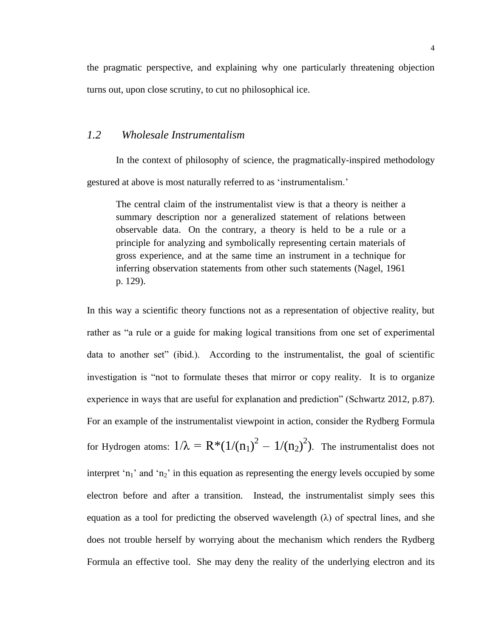the pragmatic perspective, and explaining why one particularly threatening objection turns out, upon close scrutiny, to cut no philosophical ice.

### *1.2 Wholesale Instrumentalism*

In the context of philosophy of science, the pragmatically-inspired methodology gestured at above is most naturally referred to as 'instrumentalism.'

The central claim of the instrumentalist view is that a theory is neither a summary description nor a generalized statement of relations between observable data. On the contrary, a theory is held to be a rule or a principle for analyzing and symbolically representing certain materials of gross experience, and at the same time an instrument in a technique for inferring observation statements from other such statements (Nagel, 1961 p. 129).

In this way a scientific theory functions not as a representation of objective reality, but rather as "a rule or a guide for making logical transitions from one set of experimental data to another set" (ibid.). According to the instrumentalist, the goal of scientific investigation is "not to formulate theses that mirror or copy reality. It is to organize experience in ways that are useful for explanation and prediction" (Schwartz 2012, p.87). For an example of the instrumentalist viewpoint in action, consider the Rydberg Formula for Hydrogen atoms:  $1/\lambda = R*(1/(n_1)^2 - 1/(n_2)^2)$ . The instrumentalist does not interpret 'n<sub>1</sub>' and 'n<sub>2</sub>' in this equation as representing the energy levels occupied by some electron before and after a transition. Instead, the instrumentalist simply sees this equation as a tool for predicting the observed wavelength  $(\lambda)$  of spectral lines, and she does not trouble herself by worrying about the mechanism which renders the Rydberg Formula an effective tool. She may deny the reality of the underlying electron and its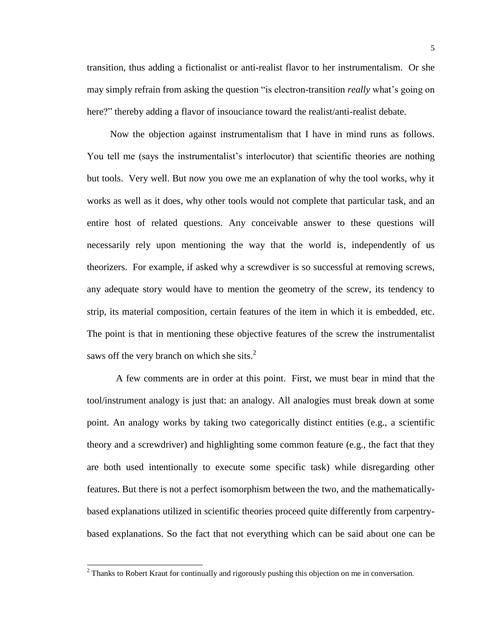transition, thus adding a fictionalist or anti-realist flavor to her instrumentalism. Or she may simply refrain from asking the question "is electron-transition *really* what's going on here?" thereby adding a flavor of insouciance toward the realist/anti-realist debate.

Now the objection against instrumentalism that I have in mind runs as follows. You tell me (says the instrumentalist's interlocutor) that scientific theories are nothing but tools. Very well. But now you owe me an explanation of why the tool works, why it works as well as it does, why other tools would not complete that particular task, and an entire host of related questions. Any conceivable answer to these questions will necessarily rely upon mentioning the way that the world is, independently of us theorizers. For example, if asked why a screwdiver is so successful at removing screws, any adequate story would have to mention the geometry of the screw, its tendency to strip, its material composition, certain features of the item in which it is embedded, etc. The point is that in mentioning these objective features of the screw the instrumentalist saws off the very branch on which she sits.<sup>2</sup>

A few comments are in order at this point. First, we must bear in mind that the tool/instrument analogy is just that: an analogy. All analogies must break down at some point. An analogy works by taking two categorically distinct entities (e.g., a scientific theory and a screwdriver) and highlighting some common feature (e.g., the fact that they are both used intentionally to execute some specific task) while disregarding other features. But there is not a perfect isomorphism between the two, and the mathematicallybased explanations utilized in scientific theories proceed quite differently from carpentrybased explanations. So the fact that not everything which can be said about one can be

<sup>&</sup>lt;sup>2</sup> Thanks to Robert Kraut for continually and rigorously pushing this objection on me in conversation.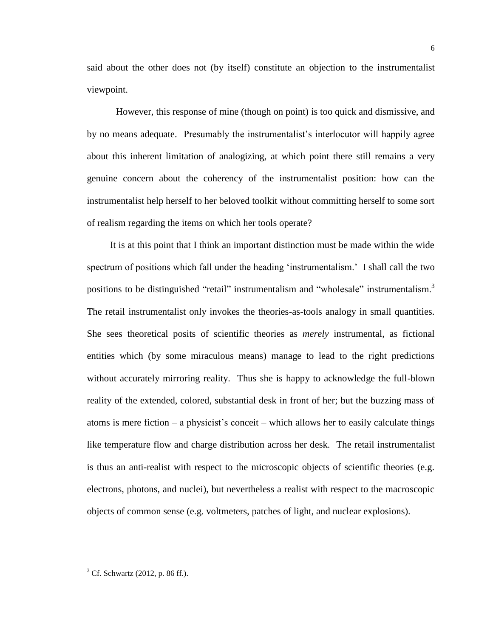said about the other does not (by itself) constitute an objection to the instrumentalist viewpoint.

However, this response of mine (though on point) is too quick and dismissive, and by no means adequate. Presumably the instrumentalist's interlocutor will happily agree about this inherent limitation of analogizing, at which point there still remains a very genuine concern about the coherency of the instrumentalist position: how can the instrumentalist help herself to her beloved toolkit without committing herself to some sort of realism regarding the items on which her tools operate?

It is at this point that I think an important distinction must be made within the wide spectrum of positions which fall under the heading 'instrumentalism.' I shall call the two positions to be distinguished "retail" instrumentalism and "wholesale" instrumentalism.<sup>3</sup> The retail instrumentalist only invokes the theories-as-tools analogy in small quantities. She sees theoretical posits of scientific theories as *merely* instrumental, as fictional entities which (by some miraculous means) manage to lead to the right predictions without accurately mirroring reality. Thus she is happy to acknowledge the full-blown reality of the extended, colored, substantial desk in front of her; but the buzzing mass of atoms is mere fiction – a physicist's conceit – which allows her to easily calculate things like temperature flow and charge distribution across her desk. The retail instrumentalist is thus an anti-realist with respect to the microscopic objects of scientific theories (e.g. electrons, photons, and nuclei), but nevertheless a realist with respect to the macroscopic objects of common sense (e.g. voltmeters, patches of light, and nuclear explosions).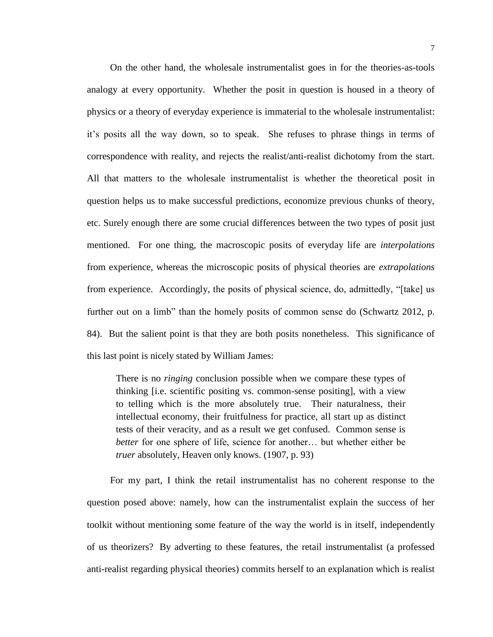On the other hand, the wholesale instrumentalist goes in for the theories-as-tools analogy at every opportunity. Whether the posit in question is housed in a theory of physics or a theory of everyday experience is immaterial to the wholesale instrumentalist: it's posits all the way down, so to speak. She refuses to phrase things in terms of correspondence with reality, and rejects the realist/anti-realist dichotomy from the start. All that matters to the wholesale instrumentalist is whether the theoretical posit in question helps us to make successful predictions, economize previous chunks of theory, etc. Surely enough there are some crucial differences between the two types of posit just mentioned. For one thing, the macroscopic posits of everyday life are *interpolations* from experience, whereas the microscopic posits of physical theories are *extrapolations* from experience. Accordingly, the posits of physical science, do, admittedly, "[take] us further out on a limb" than the homely posits of common sense do (Schwartz 2012, p. 84). But the salient point is that they are both posits nonetheless. This significance of this last point is nicely stated by William James:

There is no *ringing* conclusion possible when we compare these types of thinking [i.e. scientific positing vs. common-sense positing], with a view to telling which is the more absolutely true. Their naturalness, their intellectual economy, their fruitfulness for practice, all start up as distinct tests of their veracity, and as a result we get confused. Common sense is *better* for one sphere of life, science for another... but whether either be *truer* absolutely, Heaven only knows. (1907, p. 93)

For my part, I think the retail instrumentalist has no coherent response to the question posed above: namely, how can the instrumentalist explain the success of her toolkit without mentioning some feature of the way the world is in itself, independently of us theorizers? By adverting to these features, the retail instrumentalist (a professed anti-realist regarding physical theories) commits herself to an explanation which is realist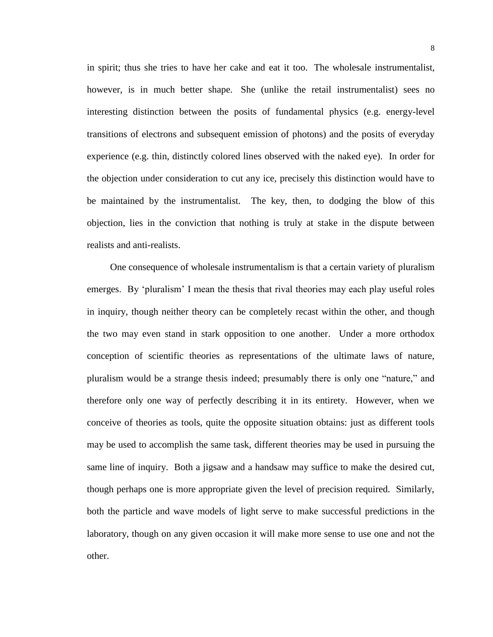in spirit; thus she tries to have her cake and eat it too. The wholesale instrumentalist, however, is in much better shape. She (unlike the retail instrumentalist) sees no interesting distinction between the posits of fundamental physics (e.g. energy-level transitions of electrons and subsequent emission of photons) and the posits of everyday experience (e.g. thin, distinctly colored lines observed with the naked eye). In order for the objection under consideration to cut any ice, precisely this distinction would have to be maintained by the instrumentalist. The key, then, to dodging the blow of this objection, lies in the conviction that nothing is truly at stake in the dispute between realists and anti-realists.

One consequence of wholesale instrumentalism is that a certain variety of pluralism emerges. By 'pluralism' I mean the thesis that rival theories may each play useful roles in inquiry, though neither theory can be completely recast within the other, and though the two may even stand in stark opposition to one another. Under a more orthodox conception of scientific theories as representations of the ultimate laws of nature, pluralism would be a strange thesis indeed; presumably there is only one "nature," and therefore only one way of perfectly describing it in its entirety. However, when we conceive of theories as tools, quite the opposite situation obtains: just as different tools may be used to accomplish the same task, different theories may be used in pursuing the same line of inquiry. Both a jigsaw and a handsaw may suffice to make the desired cut, though perhaps one is more appropriate given the level of precision required. Similarly, both the particle and wave models of light serve to make successful predictions in the laboratory, though on any given occasion it will make more sense to use one and not the other.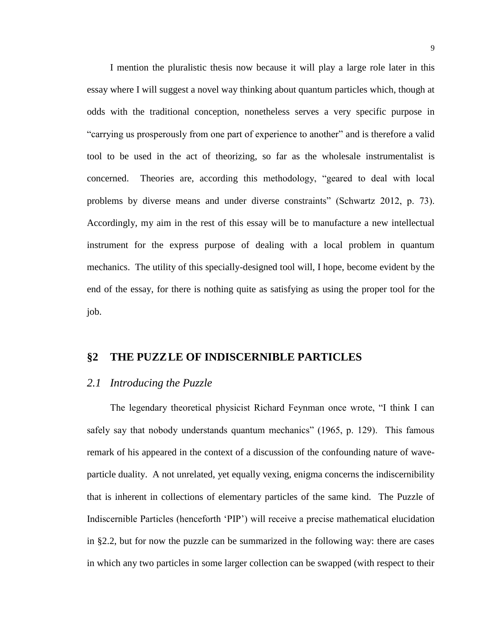I mention the pluralistic thesis now because it will play a large role later in this essay where I will suggest a novel way thinking about quantum particles which, though at odds with the traditional conception, nonetheless serves a very specific purpose in "carrying us prosperously from one part of experience to another" and is therefore a valid tool to be used in the act of theorizing, so far as the wholesale instrumentalist is concerned. Theories are, according this methodology, "geared to deal with local problems by diverse means and under diverse constraints" (Schwartz 2012, p. 73). Accordingly, my aim in the rest of this essay will be to manufacture a new intellectual instrument for the express purpose of dealing with a local problem in quantum mechanics. The utility of this specially-designed tool will, I hope, become evident by the end of the essay, for there is nothing quite as satisfying as using the proper tool for the job.

### **§2 THE PUZZLE OF INDISCERNIBLE PARTICLES**

#### *2.1 Introducing the Puzzle*

The legendary theoretical physicist Richard Feynman once wrote, "I think I can safely say that nobody understands quantum mechanics" (1965, p. 129). This famous remark of his appeared in the context of a discussion of the confounding nature of waveparticle duality. A not unrelated, yet equally vexing, enigma concerns the indiscernibility that is inherent in collections of elementary particles of the same kind. The Puzzle of Indiscernible Particles (henceforth 'PIP') will receive a precise mathematical elucidation in §2.2, but for now the puzzle can be summarized in the following way: there are cases in which any two particles in some larger collection can be swapped (with respect to their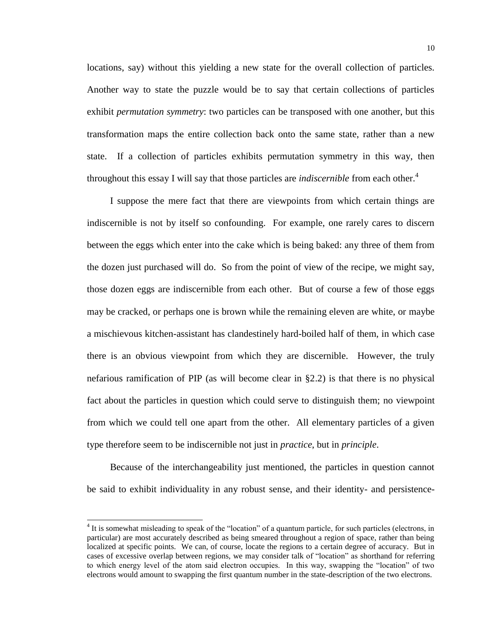locations, say) without this yielding a new state for the overall collection of particles. Another way to state the puzzle would be to say that certain collections of particles exhibit *permutation symmetry*: two particles can be transposed with one another, but this transformation maps the entire collection back onto the same state, rather than a new state. If a collection of particles exhibits permutation symmetry in this way, then throughout this essay I will say that those particles are *indiscernible* from each other.<sup>4</sup>

I suppose the mere fact that there are viewpoints from which certain things are indiscernible is not by itself so confounding. For example, one rarely cares to discern between the eggs which enter into the cake which is being baked: any three of them from the dozen just purchased will do. So from the point of view of the recipe, we might say, those dozen eggs are indiscernible from each other. But of course a few of those eggs may be cracked, or perhaps one is brown while the remaining eleven are white, or maybe a mischievous kitchen-assistant has clandestinely hard-boiled half of them, in which case there is an obvious viewpoint from which they are discernible. However, the truly nefarious ramification of PIP (as will become clear in §2.2) is that there is no physical fact about the particles in question which could serve to distinguish them; no viewpoint from which we could tell one apart from the other. All elementary particles of a given type therefore seem to be indiscernible not just in *practice*, but in *principle*.

Because of the interchangeability just mentioned, the particles in question cannot be said to exhibit individuality in any robust sense, and their identity- and persistence-

<sup>&</sup>lt;sup>4</sup> It is somewhat misleading to speak of the "location" of a quantum particle, for such particles (electrons, in particular) are most accurately described as being smeared throughout a region of space, rather than being localized at specific points. We can, of course, locate the regions to a certain degree of accuracy. But in cases of excessive overlap between regions, we may consider talk of "location" as shorthand for referring to which energy level of the atom said electron occupies. In this way, swapping the "location" of two electrons would amount to swapping the first quantum number in the state-description of the two electrons.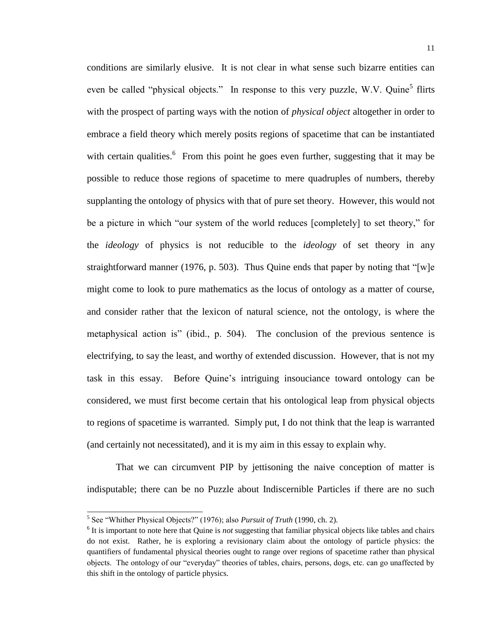conditions are similarly elusive. It is not clear in what sense such bizarre entities can even be called "physical objects." In response to this very puzzle, W.V. Quine<sup>5</sup> flirts with the prospect of parting ways with the notion of *physical object* altogether in order to embrace a field theory which merely posits regions of spacetime that can be instantiated with certain qualities.<sup>6</sup> From this point he goes even further, suggesting that it may be possible to reduce those regions of spacetime to mere quadruples of numbers, thereby supplanting the ontology of physics with that of pure set theory. However, this would not be a picture in which "our system of the world reduces [completely] to set theory," for the *ideology* of physics is not reducible to the *ideology* of set theory in any straightforward manner (1976, p. 503). Thus Quine ends that paper by noting that "[w]e might come to look to pure mathematics as the locus of ontology as a matter of course, and consider rather that the lexicon of natural science, not the ontology, is where the metaphysical action is" (ibid., p. 504). The conclusion of the previous sentence is electrifying, to say the least, and worthy of extended discussion. However, that is not my task in this essay. Before Quine's intriguing insouciance toward ontology can be considered, we must first become certain that his ontological leap from physical objects to regions of spacetime is warranted. Simply put, I do not think that the leap is warranted (and certainly not necessitated), and it is my aim in this essay to explain why.

That we can circumvent PIP by jettisoning the naive conception of matter is indisputable; there can be no Puzzle about Indiscernible Particles if there are no such

 5 See "Whither Physical Objects?" (1976); also *Pursuit of Truth* (1990, ch. 2).

<sup>&</sup>lt;sup>6</sup> It is important to note here that Quine is *not* suggesting that familiar physical objects like tables and chairs do not exist. Rather, he is exploring a revisionary claim about the ontology of particle physics: the quantifiers of fundamental physical theories ought to range over regions of spacetime rather than physical objects. The ontology of our "everyday" theories of tables, chairs, persons, dogs, etc. can go unaffected by this shift in the ontology of particle physics.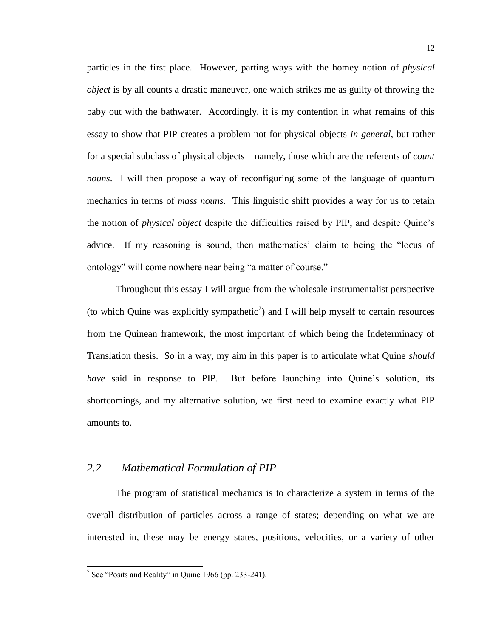particles in the first place. However, parting ways with the homey notion of *physical object* is by all counts a drastic maneuver, one which strikes me as guilty of throwing the baby out with the bathwater. Accordingly, it is my contention in what remains of this essay to show that PIP creates a problem not for physical objects *in general*, but rather for a special subclass of physical objects – namely, those which are the referents of *count nouns*. I will then propose a way of reconfiguring some of the language of quantum mechanics in terms of *mass nouns*. This linguistic shift provides a way for us to retain the notion of *physical object* despite the difficulties raised by PIP, and despite Quine's advice. If my reasoning is sound, then mathematics' claim to being the "locus of ontology" will come nowhere near being "a matter of course."

Throughout this essay I will argue from the wholesale instrumentalist perspective (to which Quine was explicitly sympathetic<sup>7</sup>) and I will help myself to certain resources from the Quinean framework, the most important of which being the Indeterminacy of Translation thesis. So in a way, my aim in this paper is to articulate what Quine *should have* said in response to PIP. But before launching into Quine's solution, its shortcomings, and my alternative solution, we first need to examine exactly what PIP amounts to.

#### *2.2 Mathematical Formulation of PIP*

The program of statistical mechanics is to characterize a system in terms of the overall distribution of particles across a range of states; depending on what we are interested in, these may be energy states, positions, velocities, or a variety of other

<sup>&</sup>lt;sup>7</sup> See "Posits and Reality" in Quine 1966 (pp. 233-241).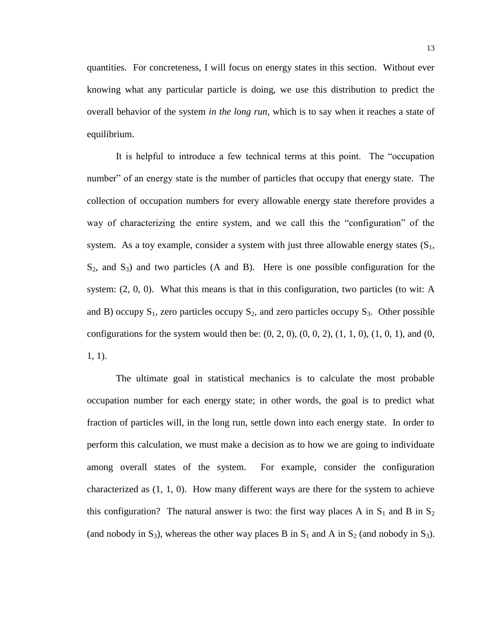quantities. For concreteness, I will focus on energy states in this section. Without ever knowing what any particular particle is doing, we use this distribution to predict the overall behavior of the system *in the long run*, which is to say when it reaches a state of equilibrium.

It is helpful to introduce a few technical terms at this point. The "occupation number" of an energy state is the number of particles that occupy that energy state. The collection of occupation numbers for every allowable energy state therefore provides a way of characterizing the entire system, and we call this the "configuration" of the system. As a toy example, consider a system with just three allowable energy states  $(S_1, S_2)$  $S_2$ , and  $S_3$ ) and two particles (A and B). Here is one possible configuration for the system: (2, 0, 0). What this means is that in this configuration, two particles (to wit: A and B) occupy  $S_1$ , zero particles occupy  $S_2$ , and zero particles occupy  $S_3$ . Other possible configurations for the system would then be:  $(0, 2, 0)$ ,  $(0, 0, 2)$ ,  $(1, 1, 0)$ ,  $(1, 0, 1)$ , and  $(0, 0, 1)$ 1, 1).

The ultimate goal in statistical mechanics is to calculate the most probable occupation number for each energy state; in other words, the goal is to predict what fraction of particles will, in the long run, settle down into each energy state. In order to perform this calculation, we must make a decision as to how we are going to individuate among overall states of the system. For example, consider the configuration characterized as (1, 1, 0). How many different ways are there for the system to achieve this configuration? The natural answer is two: the first way places A in  $S_1$  and B in  $S_2$ (and nobody in S<sub>3</sub>), whereas the other way places B in S<sub>1</sub> and A in S<sub>2</sub> (and nobody in S<sub>3</sub>).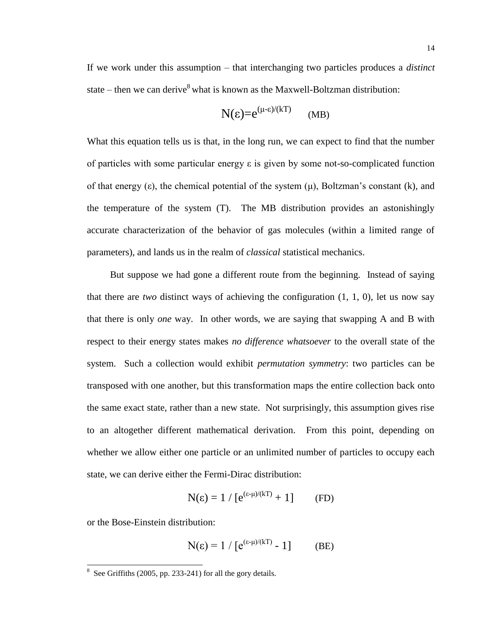If we work under this assumption – that interchanging two particles produces a *distinct* state – then we can derive  $8$  what is known as the Maxwell-Boltzman distribution:

$$
N(\epsilon) = e^{(\mu - \epsilon)/(kT)} \qquad (MB)
$$

What this equation tells us is that, in the long run, we can expect to find that the number of particles with some particular energy ε is given by some not-so-complicated function of that energy (ε), the chemical potential of the system  $(\mu)$ , Boltzman's constant (k), and the temperature of the system (T). The MB distribution provides an astonishingly accurate characterization of the behavior of gas molecules (within a limited range of parameters), and lands us in the realm of *classical* statistical mechanics.

But suppose we had gone a different route from the beginning. Instead of saying that there are *two* distinct ways of achieving the configuration (1, 1, 0), let us now say that there is only *one* way. In other words, we are saying that swapping A and B with respect to their energy states makes *no difference whatsoever* to the overall state of the system. Such a collection would exhibit *permutation symmetry*: two particles can be transposed with one another, but this transformation maps the entire collection back onto the same exact state, rather than a new state. Not surprisingly, this assumption gives rise to an altogether different mathematical derivation. From this point, depending on whether we allow either one particle or an unlimited number of particles to occupy each state, we can derive either the Fermi-Dirac distribution:

$$
N(\epsilon) = 1 / [e^{(\epsilon - \mu)/(kT)} + 1]
$$
 (FD)

or the Bose-Einstein distribution:

$$
N(\varepsilon) = 1 / [e^{(\varepsilon - \mu)/(kT)} - 1]
$$
 (BE)

<sup>&</sup>lt;sup>8</sup> See Griffiths (2005, pp. 233-241) for all the gory details.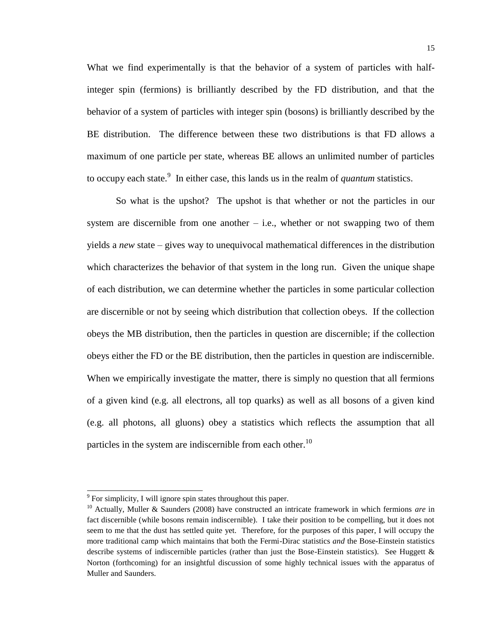What we find experimentally is that the behavior of a system of particles with halfinteger spin (fermions) is brilliantly described by the FD distribution, and that the behavior of a system of particles with integer spin (bosons) is brilliantly described by the BE distribution. The difference between these two distributions is that FD allows a maximum of one particle per state, whereas BE allows an unlimited number of particles to occupy each state.<sup>9</sup> In either case, this lands us in the realm of *quantum* statistics.

So what is the upshot? The upshot is that whether or not the particles in our system are discernible from one another  $-$  i.e., whether or not swapping two of them yields a *new* state – gives way to unequivocal mathematical differences in the distribution which characterizes the behavior of that system in the long run. Given the unique shape of each distribution, we can determine whether the particles in some particular collection are discernible or not by seeing which distribution that collection obeys. If the collection obeys the MB distribution, then the particles in question are discernible; if the collection obeys either the FD or the BE distribution, then the particles in question are indiscernible. When we empirically investigate the matter, there is simply no question that all fermions of a given kind (e.g. all electrons, all top quarks) as well as all bosons of a given kind (e.g. all photons, all gluons) obey a statistics which reflects the assumption that all particles in the system are indiscernible from each other.<sup>10</sup>

<sup>&</sup>lt;sup>9</sup> For simplicity, I will ignore spin states throughout this paper.

<sup>10</sup> Actually, Muller & Saunders (2008) have constructed an intricate framework in which fermions *are* in fact discernible (while bosons remain indiscernible). I take their position to be compelling, but it does not seem to me that the dust has settled quite yet. Therefore, for the purposes of this paper, I will occupy the more traditional camp which maintains that both the Fermi-Dirac statistics *and* the Bose-Einstein statistics describe systems of indiscernible particles (rather than just the Bose-Einstein statistics). See Huggett & Norton (forthcoming) for an insightful discussion of some highly technical issues with the apparatus of Muller and Saunders.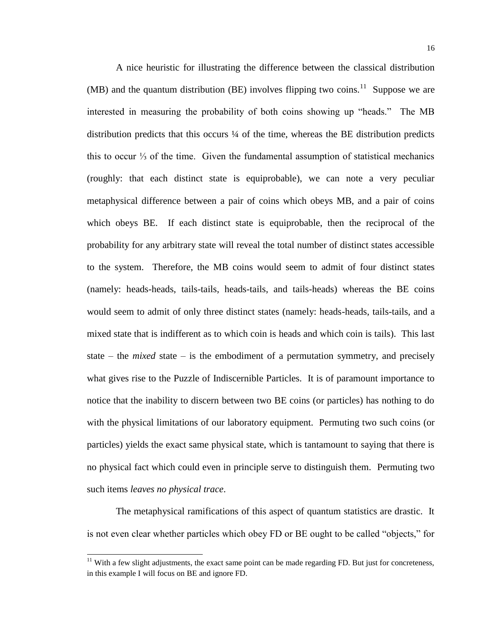A nice heuristic for illustrating the difference between the classical distribution  $(MB)$  and the quantum distribution (BE) involves flipping two coins.<sup>11</sup> Suppose we are interested in measuring the probability of both coins showing up "heads." The MB distribution predicts that this occurs  $\frac{1}{4}$  of the time, whereas the BE distribution predicts this to occur ⅓ of the time. Given the fundamental assumption of statistical mechanics (roughly: that each distinct state is equiprobable), we can note a very peculiar metaphysical difference between a pair of coins which obeys MB, and a pair of coins which obeys BE. If each distinct state is equiprobable, then the reciprocal of the probability for any arbitrary state will reveal the total number of distinct states accessible to the system. Therefore, the MB coins would seem to admit of four distinct states (namely: heads-heads, tails-tails, heads-tails, and tails-heads) whereas the BE coins would seem to admit of only three distinct states (namely: heads-heads, tails-tails, and a mixed state that is indifferent as to which coin is heads and which coin is tails). This last state – the *mixed* state – is the embodiment of a permutation symmetry, and precisely what gives rise to the Puzzle of Indiscernible Particles. It is of paramount importance to notice that the inability to discern between two BE coins (or particles) has nothing to do with the physical limitations of our laboratory equipment. Permuting two such coins (or particles) yields the exact same physical state, which is tantamount to saying that there is no physical fact which could even in principle serve to distinguish them. Permuting two such items *leaves no physical trace*.

The metaphysical ramifications of this aspect of quantum statistics are drastic. It is not even clear whether particles which obey FD or BE ought to be called "objects," for

 $11$  With a few slight adjustments, the exact same point can be made regarding FD. But just for concreteness, in this example I will focus on BE and ignore FD.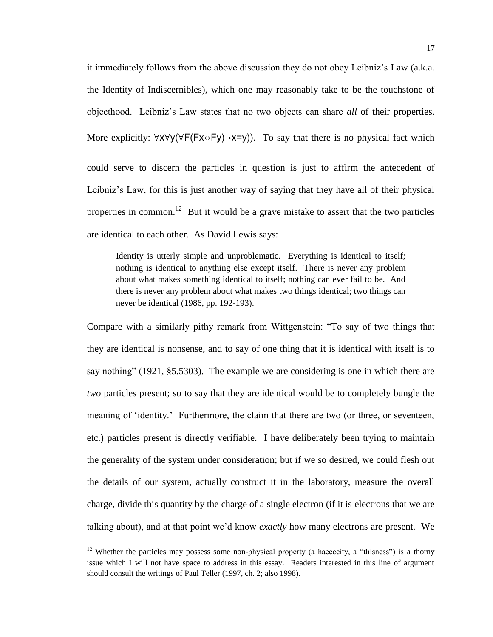it immediately follows from the above discussion they do not obey Leibniz's Law (a.k.a. the Identity of Indiscernibles), which one may reasonably take to be the touchstone of objecthood. Leibniz's Law states that no two objects can share *all* of their properties. More explicitly: ∀x∀y(∀F(Fx↔Fy)→x=y)). To say that there is no physical fact which could serve to discern the particles in question is just to affirm the antecedent of Leibniz's Law, for this is just another way of saying that they have all of their physical properties in common.<sup>12</sup> But it would be a grave mistake to assert that the two particles are identical to each other. As David Lewis says:

Identity is utterly simple and unproblematic. Everything is identical to itself; nothing is identical to anything else except itself. There is never any problem about what makes something identical to itself; nothing can ever fail to be. And there is never any problem about what makes two things identical; two things can never be identical (1986, pp. 192-193).

Compare with a similarly pithy remark from Wittgenstein: "To say of two things that they are identical is nonsense, and to say of one thing that it is identical with itself is to say nothing" (1921, §5.5303). The example we are considering is one in which there are *two* particles present; so to say that they are identical would be to completely bungle the meaning of 'identity.' Furthermore, the claim that there are two (or three, or seventeen, etc.) particles present is directly verifiable. I have deliberately been trying to maintain the generality of the system under consideration; but if we so desired, we could flesh out the details of our system, actually construct it in the laboratory, measure the overall charge, divide this quantity by the charge of a single electron (if it is electrons that we are talking about), and at that point we'd know *exactly* how many electrons are present. We

 $12$  Whether the particles may possess some non-physical property (a haecceity, a "thisness") is a thorny issue which I will not have space to address in this essay. Readers interested in this line of argument should consult the writings of Paul Teller (1997, ch. 2; also 1998).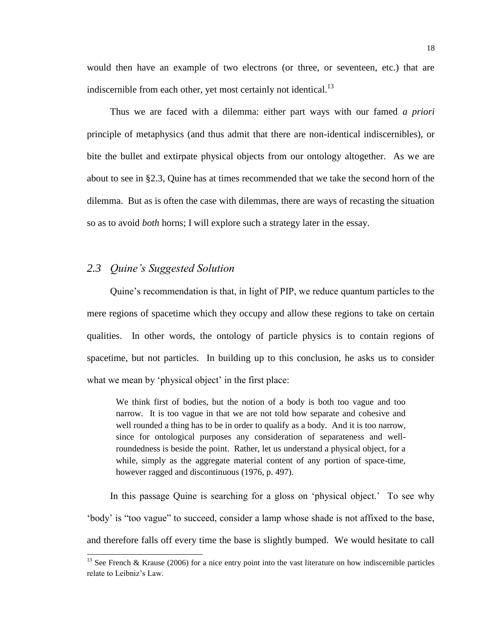would then have an example of two electrons (or three, or seventeen, etc.) that are indiscernible from each other, yet most certainly not identical. $^{13}$ 

Thus we are faced with a dilemma: either part ways with our famed *a priori* principle of metaphysics (and thus admit that there are non-identical indiscernibles), or bite the bullet and extirpate physical objects from our ontology altogether. As we are about to see in §2.3, Quine has at times recommended that we take the second horn of the dilemma. But as is often the case with dilemmas, there are ways of recasting the situation so as to avoid *both* horns; I will explore such a strategy later in the essay.

#### *2.3 Quine's Suggested Solution*

l

Quine's recommendation is that, in light of PIP, we reduce quantum particles to the mere regions of spacetime which they occupy and allow these regions to take on certain qualities. In other words, the ontology of particle physics is to contain regions of spacetime, but not particles. In building up to this conclusion, he asks us to consider what we mean by 'physical object' in the first place:

We think first of bodies, but the notion of a body is both too vague and too narrow. It is too vague in that we are not told how separate and cohesive and well rounded a thing has to be in order to qualify as a body. And it is too narrow, since for ontological purposes any consideration of separateness and wellroundedness is beside the point. Rather, let us understand a physical object, for a while, simply as the aggregate material content of any portion of space-time, however ragged and discontinuous (1976, p. 497).

In this passage Quine is searching for a gloss on 'physical object.' To see why 'body' is "too vague" to succeed, consider a lamp whose shade is not affixed to the base, and therefore falls off every time the base is slightly bumped. We would hesitate to call

<sup>&</sup>lt;sup>13</sup> See French & Krause (2006) for a nice entry point into the vast literature on how indiscernible particles relate to Leibniz's Law.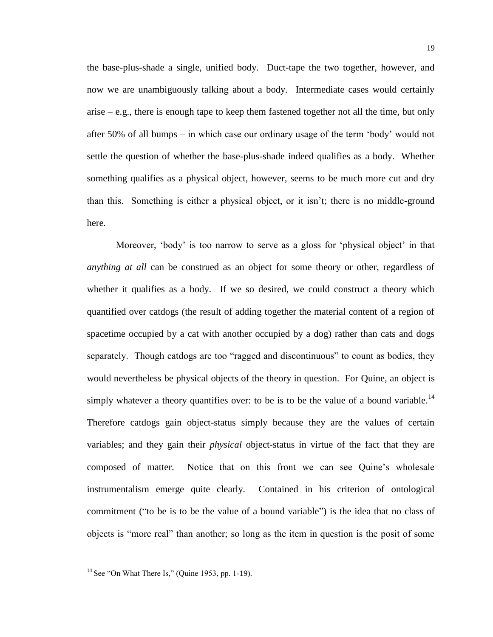the base-plus-shade a single, unified body. Duct-tape the two together, however, and now we are unambiguously talking about a body. Intermediate cases would certainly arise – e.g., there is enough tape to keep them fastened together not all the time, but only after 50% of all bumps – in which case our ordinary usage of the term 'body' would not settle the question of whether the base-plus-shade indeed qualifies as a body. Whether something qualifies as a physical object, however, seems to be much more cut and dry than this. Something is either a physical object, or it isn't; there is no middle-ground here.

Moreover, 'body' is too narrow to serve as a gloss for 'physical object' in that *anything at all* can be construed as an object for some theory or other, regardless of whether it qualifies as a body. If we so desired, we could construct a theory which quantified over catdogs (the result of adding together the material content of a region of spacetime occupied by a cat with another occupied by a dog) rather than cats and dogs separately. Though catdogs are too "ragged and discontinuous" to count as bodies, they would nevertheless be physical objects of the theory in question. For Quine, an object is simply whatever a theory quantifies over: to be is to be the value of a bound variable.<sup>14</sup> Therefore catdogs gain object-status simply because they are the values of certain variables; and they gain their *physical* object-status in virtue of the fact that they are composed of matter. Notice that on this front we can see Quine's wholesale instrumentalism emerge quite clearly. Contained in his criterion of ontological commitment ("to be is to be the value of a bound variable") is the idea that no class of objects is "more real" than another; so long as the item in question is the posit of some

 $14$  See "On What There Is," (Quine 1953, pp. 1-19).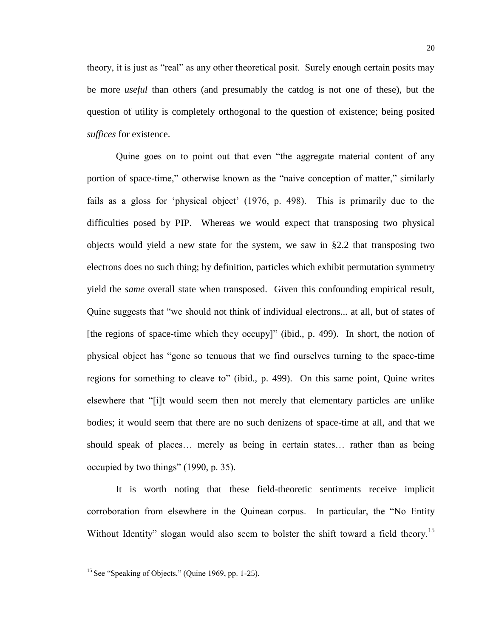theory, it is just as "real" as any other theoretical posit. Surely enough certain posits may be more *useful* than others (and presumably the catdog is not one of these), but the question of utility is completely orthogonal to the question of existence; being posited *suffices* for existence.

Quine goes on to point out that even "the aggregate material content of any portion of space-time," otherwise known as the "naive conception of matter," similarly fails as a gloss for 'physical object' (1976, p. 498). This is primarily due to the difficulties posed by PIP. Whereas we would expect that transposing two physical objects would yield a new state for the system, we saw in §2.2 that transposing two electrons does no such thing; by definition, particles which exhibit permutation symmetry yield the *same* overall state when transposed. Given this confounding empirical result, Quine suggests that "we should not think of individual electrons... at all, but of states of [the regions of space-time which they occupy]" (ibid., p. 499). In short, the notion of physical object has "gone so tenuous that we find ourselves turning to the space-time regions for something to cleave to" (ibid., p. 499). On this same point, Quine writes elsewhere that "[i]t would seem then not merely that elementary particles are unlike bodies; it would seem that there are no such denizens of space-time at all, and that we should speak of places… merely as being in certain states… rather than as being occupied by two things" (1990, p. 35).

It is worth noting that these field-theoretic sentiments receive implicit corroboration from elsewhere in the Quinean corpus. In particular, the "No Entity Without Identity" slogan would also seem to bolster the shift toward a field theory.<sup>15</sup>

 $15$  See "Speaking of Objects," (Quine 1969, pp. 1-25).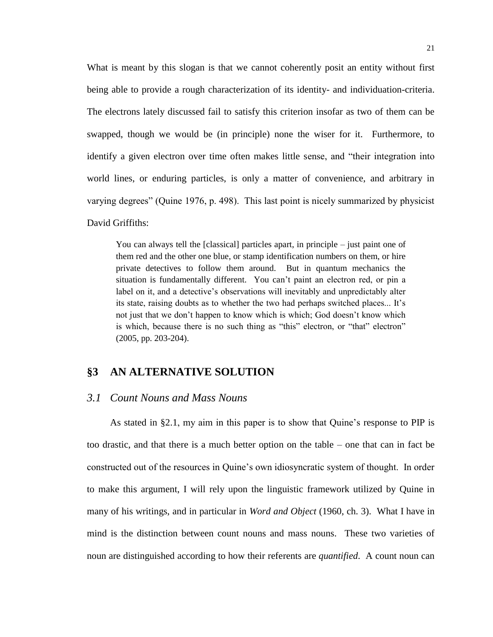What is meant by this slogan is that we cannot coherently posit an entity without first being able to provide a rough characterization of its identity- and individuation-criteria. The electrons lately discussed fail to satisfy this criterion insofar as two of them can be swapped, though we would be (in principle) none the wiser for it. Furthermore, to identify a given electron over time often makes little sense, and "their integration into world lines, or enduring particles, is only a matter of convenience, and arbitrary in varying degrees" (Quine 1976, p. 498). This last point is nicely summarized by physicist David Griffiths:

You can always tell the [classical] particles apart, in principle – just paint one of them red and the other one blue, or stamp identification numbers on them, or hire private detectives to follow them around. But in quantum mechanics the situation is fundamentally different. You can't paint an electron red, or pin a label on it, and a detective's observations will inevitably and unpredictably alter its state, raising doubts as to whether the two had perhaps switched places... It's not just that we don't happen to know which is which; God doesn't know which is which, because there is no such thing as "this" electron, or "that" electron" (2005, pp. 203-204).

#### **§3 AN ALTERNATIVE SOLUTION**

#### *3.1 Count Nouns and Mass Nouns*

As stated in §2.1, my aim in this paper is to show that Quine's response to PIP is too drastic, and that there is a much better option on the table – one that can in fact be constructed out of the resources in Quine's own idiosyncratic system of thought. In order to make this argument, I will rely upon the linguistic framework utilized by Quine in many of his writings, and in particular in *Word and Object* (1960, ch. 3). What I have in mind is the distinction between count nouns and mass nouns. These two varieties of noun are distinguished according to how their referents are *quantified*. A count noun can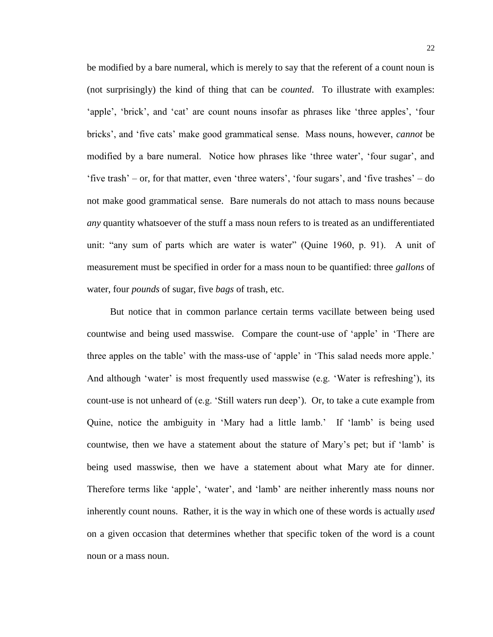be modified by a bare numeral, which is merely to say that the referent of a count noun is (not surprisingly) the kind of thing that can be *counted*. To illustrate with examples: 'apple', 'brick', and 'cat' are count nouns insofar as phrases like 'three apples', 'four bricks', and 'five cats' make good grammatical sense. Mass nouns, however, *cannot* be modified by a bare numeral. Notice how phrases like 'three water', 'four sugar', and 'five trash' – or, for that matter, even 'three waters', 'four sugars', and 'five trashes' – do not make good grammatical sense. Bare numerals do not attach to mass nouns because *any* quantity whatsoever of the stuff a mass noun refers to is treated as an undifferentiated unit: "any sum of parts which are water is water" (Quine 1960, p. 91). A unit of measurement must be specified in order for a mass noun to be quantified: three *gallons* of water, four *pounds* of sugar, five *bags* of trash, etc.

But notice that in common parlance certain terms vacillate between being used countwise and being used masswise. Compare the count-use of 'apple' in 'There are three apples on the table' with the mass-use of 'apple' in 'This salad needs more apple.' And although 'water' is most frequently used masswise (e.g. 'Water is refreshing'), its count-use is not unheard of (e.g. 'Still waters run deep'). Or, to take a cute example from Quine, notice the ambiguity in 'Mary had a little lamb.' If 'lamb' is being used countwise, then we have a statement about the stature of Mary's pet; but if 'lamb' is being used masswise, then we have a statement about what Mary ate for dinner. Therefore terms like 'apple', 'water', and 'lamb' are neither inherently mass nouns nor inherently count nouns. Rather, it is the way in which one of these words is actually *used* on a given occasion that determines whether that specific token of the word is a count noun or a mass noun.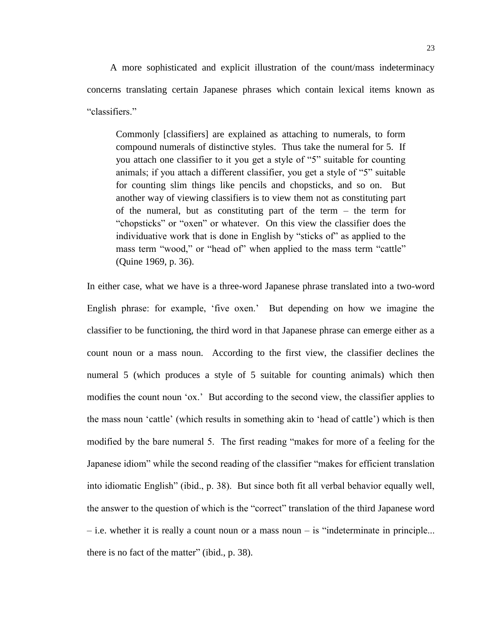A more sophisticated and explicit illustration of the count/mass indeterminacy concerns translating certain Japanese phrases which contain lexical items known as "classifiers."

Commonly [classifiers] are explained as attaching to numerals, to form compound numerals of distinctive styles. Thus take the numeral for 5. If you attach one classifier to it you get a style of "5" suitable for counting animals; if you attach a different classifier, you get a style of "5" suitable for counting slim things like pencils and chopsticks, and so on. But another way of viewing classifiers is to view them not as constituting part of the numeral, but as constituting part of the term – the term for "chopsticks" or "oxen" or whatever. On this view the classifier does the individuative work that is done in English by "sticks of" as applied to the mass term "wood," or "head of" when applied to the mass term "cattle" (Quine 1969, p. 36).

In either case, what we have is a three-word Japanese phrase translated into a two-word English phrase: for example, 'five oxen.' But depending on how we imagine the classifier to be functioning, the third word in that Japanese phrase can emerge either as a count noun or a mass noun. According to the first view, the classifier declines the numeral 5 (which produces a style of 5 suitable for counting animals) which then modifies the count noun 'ox.' But according to the second view, the classifier applies to the mass noun 'cattle' (which results in something akin to 'head of cattle') which is then modified by the bare numeral 5. The first reading "makes for more of a feeling for the Japanese idiom" while the second reading of the classifier "makes for efficient translation into idiomatic English" (ibid., p. 38). But since both fit all verbal behavior equally well, the answer to the question of which is the "correct" translation of the third Japanese word – i.e. whether it is really a count noun or a mass noun – is "indeterminate in principle... there is no fact of the matter" (ibid., p. 38).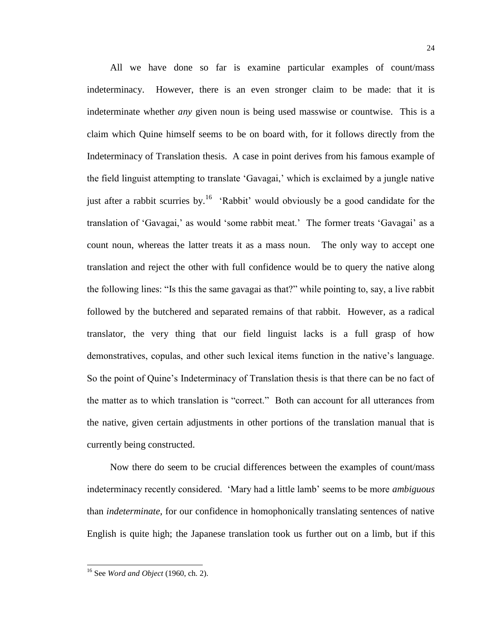All we have done so far is examine particular examples of count/mass indeterminacy. However, there is an even stronger claim to be made: that it is indeterminate whether *any* given noun is being used masswise or countwise. This is a claim which Quine himself seems to be on board with, for it follows directly from the Indeterminacy of Translation thesis. A case in point derives from his famous example of the field linguist attempting to translate 'Gavagai,' which is exclaimed by a jungle native just after a rabbit scurries by.<sup>16</sup> 'Rabbit' would obviously be a good candidate for the translation of 'Gavagai,' as would 'some rabbit meat.' The former treats 'Gavagai' as a count noun, whereas the latter treats it as a mass noun. The only way to accept one translation and reject the other with full confidence would be to query the native along the following lines: "Is this the same gavagai as that?" while pointing to, say, a live rabbit followed by the butchered and separated remains of that rabbit. However, as a radical translator, the very thing that our field linguist lacks is a full grasp of how demonstratives, copulas, and other such lexical items function in the native's language. So the point of Quine's Indeterminacy of Translation thesis is that there can be no fact of the matter as to which translation is "correct." Both can account for all utterances from the native, given certain adjustments in other portions of the translation manual that is currently being constructed.

Now there do seem to be crucial differences between the examples of count/mass indeterminacy recently considered. 'Mary had a little lamb' seems to be more *ambiguous* than *indeterminate*, for our confidence in homophonically translating sentences of native English is quite high; the Japanese translation took us further out on a limb, but if this

<sup>16</sup> See *Word and Object* (1960, ch. 2).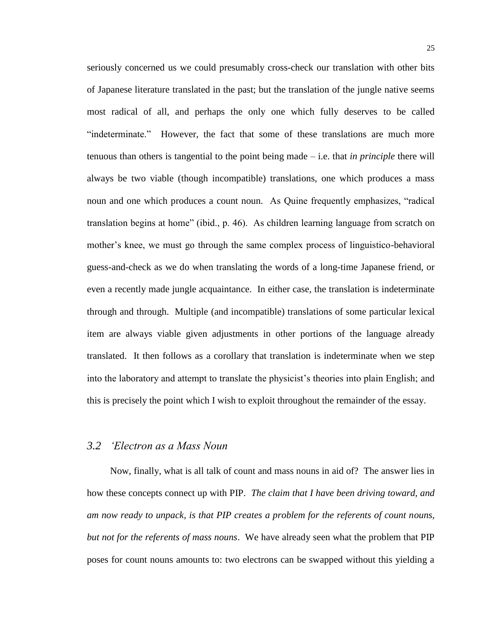seriously concerned us we could presumably cross-check our translation with other bits of Japanese literature translated in the past; but the translation of the jungle native seems most radical of all, and perhaps the only one which fully deserves to be called "indeterminate." However, the fact that some of these translations are much more tenuous than others is tangential to the point being made – i.e. that *in principle* there will always be two viable (though incompatible) translations, one which produces a mass noun and one which produces a count noun. As Quine frequently emphasizes, "radical translation begins at home" (ibid., p. 46). As children learning language from scratch on mother's knee, we must go through the same complex process of linguistico-behavioral guess-and-check as we do when translating the words of a long-time Japanese friend, or even a recently made jungle acquaintance. In either case, the translation is indeterminate through and through. Multiple (and incompatible) translations of some particular lexical item are always viable given adjustments in other portions of the language already translated. It then follows as a corollary that translation is indeterminate when we step into the laboratory and attempt to translate the physicist's theories into plain English; and this is precisely the point which I wish to exploit throughout the remainder of the essay.

## *3.2 'Electron as a Mass Noun*

Now, finally, what is all talk of count and mass nouns in aid of? The answer lies in how these concepts connect up with PIP. *The claim that I have been driving toward, and am now ready to unpack, is that PIP creates a problem for the referents of count nouns, but not for the referents of mass nouns*. We have already seen what the problem that PIP poses for count nouns amounts to: two electrons can be swapped without this yielding a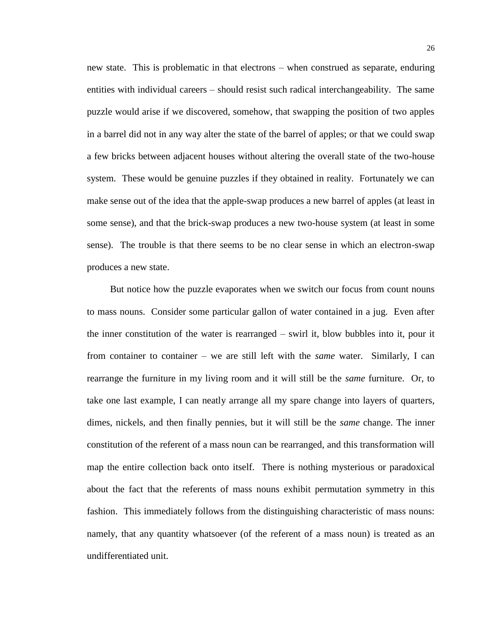new state. This is problematic in that electrons – when construed as separate, enduring entities with individual careers – should resist such radical interchangeability. The same puzzle would arise if we discovered, somehow, that swapping the position of two apples in a barrel did not in any way alter the state of the barrel of apples; or that we could swap a few bricks between adjacent houses without altering the overall state of the two-house system. These would be genuine puzzles if they obtained in reality. Fortunately we can make sense out of the idea that the apple-swap produces a new barrel of apples (at least in some sense), and that the brick-swap produces a new two-house system (at least in some sense). The trouble is that there seems to be no clear sense in which an electron-swap produces a new state.

But notice how the puzzle evaporates when we switch our focus from count nouns to mass nouns. Consider some particular gallon of water contained in a jug. Even after the inner constitution of the water is rearranged – swirl it, blow bubbles into it, pour it from container to container – we are still left with the *same* water. Similarly, I can rearrange the furniture in my living room and it will still be the *same* furniture. Or, to take one last example, I can neatly arrange all my spare change into layers of quarters, dimes, nickels, and then finally pennies, but it will still be the *same* change. The inner constitution of the referent of a mass noun can be rearranged, and this transformation will map the entire collection back onto itself. There is nothing mysterious or paradoxical about the fact that the referents of mass nouns exhibit permutation symmetry in this fashion. This immediately follows from the distinguishing characteristic of mass nouns: namely, that any quantity whatsoever (of the referent of a mass noun) is treated as an undifferentiated unit.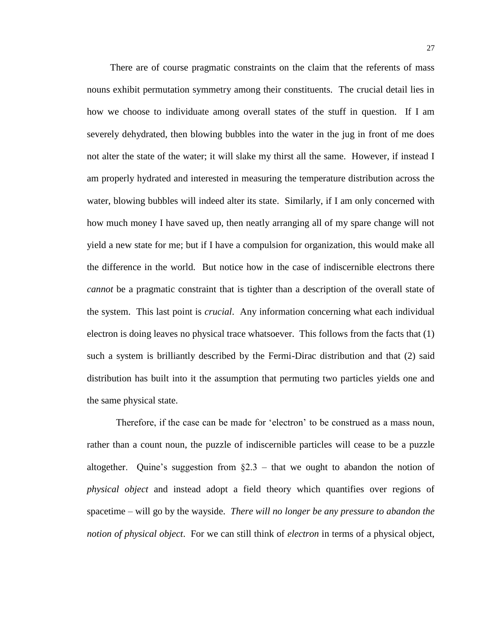There are of course pragmatic constraints on the claim that the referents of mass nouns exhibit permutation symmetry among their constituents. The crucial detail lies in how we choose to individuate among overall states of the stuff in question. If I am severely dehydrated, then blowing bubbles into the water in the jug in front of me does not alter the state of the water; it will slake my thirst all the same. However, if instead I am properly hydrated and interested in measuring the temperature distribution across the water, blowing bubbles will indeed alter its state. Similarly, if I am only concerned with how much money I have saved up, then neatly arranging all of my spare change will not yield a new state for me; but if I have a compulsion for organization, this would make all the difference in the world. But notice how in the case of indiscernible electrons there *cannot* be a pragmatic constraint that is tighter than a description of the overall state of the system. This last point is *crucial*. Any information concerning what each individual electron is doing leaves no physical trace whatsoever. This follows from the facts that (1) such a system is brilliantly described by the Fermi-Dirac distribution and that (2) said distribution has built into it the assumption that permuting two particles yields one and the same physical state.

Therefore, if the case can be made for 'electron' to be construed as a mass noun, rather than a count noun, the puzzle of indiscernible particles will cease to be a puzzle altogether. Quine's suggestion from  $\S2.3$  – that we ought to abandon the notion of *physical object* and instead adopt a field theory which quantifies over regions of spacetime – will go by the wayside. *There will no longer be any pressure to abandon the notion of physical object*. For we can still think of *electron* in terms of a physical object,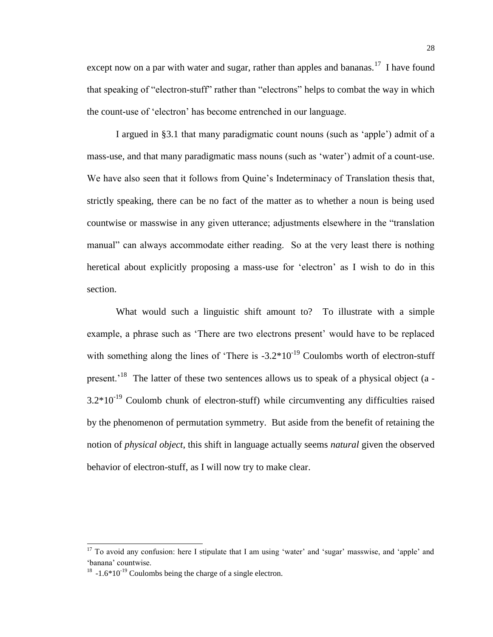except now on a par with water and sugar, rather than apples and bananas.<sup>17</sup> I have found that speaking of "electron-stuff" rather than "electrons" helps to combat the way in which the count-use of 'electron' has become entrenched in our language.

I argued in §3.1 that many paradigmatic count nouns (such as 'apple') admit of a mass-use, and that many paradigmatic mass nouns (such as 'water') admit of a count-use. We have also seen that it follows from Quine's Indeterminacy of Translation thesis that, strictly speaking, there can be no fact of the matter as to whether a noun is being used countwise or masswise in any given utterance; adjustments elsewhere in the "translation manual" can always accommodate either reading. So at the very least there is nothing heretical about explicitly proposing a mass-use for 'electron' as I wish to do in this section.

What would such a linguistic shift amount to? To illustrate with a simple example, a phrase such as 'There are two electrons present' would have to be replaced with something along the lines of 'There is  $-3.2*10^{-19}$  Coulombs worth of electron-stuff present.<sup>'18</sup> The latter of these two sentences allows us to speak of a physical object (a - $3.2*10<sup>-19</sup>$  Coulomb chunk of electron-stuff) while circumventing any difficulties raised by the phenomenon of permutation symmetry. But aside from the benefit of retaining the notion of *physical object*, this shift in language actually seems *natural* given the observed behavior of electron-stuff, as I will now try to make clear.

 $17$  To avoid any confusion: here I stipulate that I am using 'water' and 'sugar' masswise, and 'apple' and 'banana' countwise.

 $18 - 1.6*10^{-19}$  Coulombs being the charge of a single electron.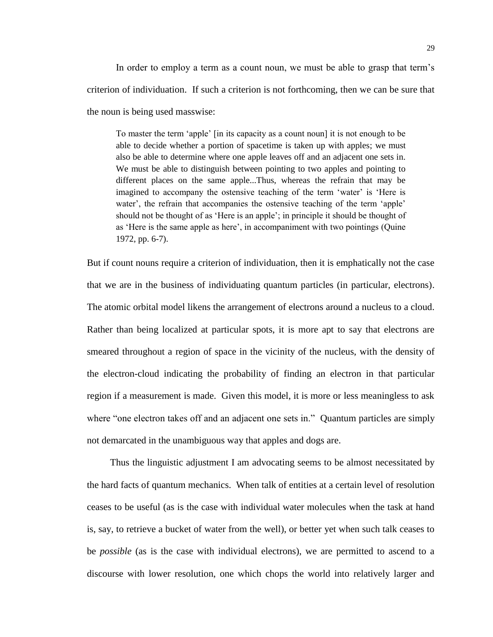In order to employ a term as a count noun, we must be able to grasp that term's criterion of individuation. If such a criterion is not forthcoming, then we can be sure that the noun is being used masswise:

To master the term 'apple' [in its capacity as a count noun] it is not enough to be able to decide whether a portion of spacetime is taken up with apples; we must also be able to determine where one apple leaves off and an adjacent one sets in. We must be able to distinguish between pointing to two apples and pointing to different places on the same apple...Thus, whereas the refrain that may be imagined to accompany the ostensive teaching of the term 'water' is 'Here is water', the refrain that accompanies the ostensive teaching of the term 'apple' should not be thought of as 'Here is an apple'; in principle it should be thought of as 'Here is the same apple as here', in accompaniment with two pointings (Quine 1972, pp. 6-7).

But if count nouns require a criterion of individuation, then it is emphatically not the case that we are in the business of individuating quantum particles (in particular, electrons). The atomic orbital model likens the arrangement of electrons around a nucleus to a cloud. Rather than being localized at particular spots, it is more apt to say that electrons are smeared throughout a region of space in the vicinity of the nucleus, with the density of the electron-cloud indicating the probability of finding an electron in that particular region if a measurement is made. Given this model, it is more or less meaningless to ask where "one electron takes off and an adjacent one sets in." Quantum particles are simply not demarcated in the unambiguous way that apples and dogs are.

Thus the linguistic adjustment I am advocating seems to be almost necessitated by the hard facts of quantum mechanics. When talk of entities at a certain level of resolution ceases to be useful (as is the case with individual water molecules when the task at hand is, say, to retrieve a bucket of water from the well), or better yet when such talk ceases to be *possible* (as is the case with individual electrons), we are permitted to ascend to a discourse with lower resolution, one which chops the world into relatively larger and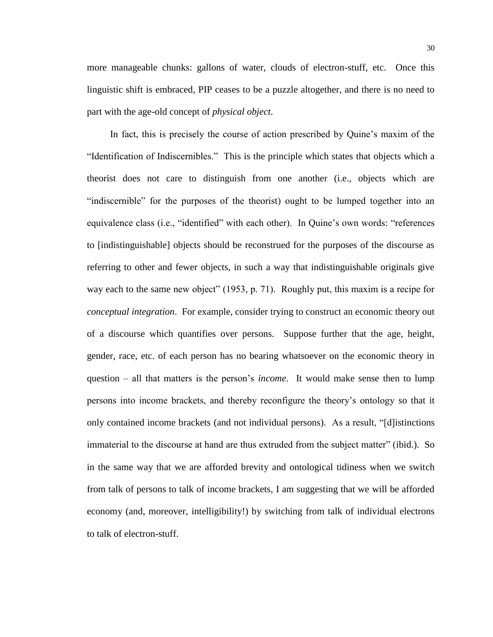more manageable chunks: gallons of water, clouds of electron-stuff, etc. Once this linguistic shift is embraced, PIP ceases to be a puzzle altogether, and there is no need to part with the age-old concept of *physical object*.

In fact, this is precisely the course of action prescribed by Quine's maxim of the "Identification of Indiscernibles." This is the principle which states that objects which a theorist does not care to distinguish from one another (i.e., objects which are "indiscernible" for the purposes of the theorist) ought to be lumped together into an equivalence class (i.e., "identified" with each other). In Quine's own words: "references to [indistinguishable] objects should be reconstrued for the purposes of the discourse as referring to other and fewer objects, in such a way that indistinguishable originals give way each to the same new object" (1953, p. 71). Roughly put, this maxim is a recipe for *conceptual integration*. For example, consider trying to construct an economic theory out of a discourse which quantifies over persons. Suppose further that the age, height, gender, race, etc. of each person has no bearing whatsoever on the economic theory in question – all that matters is the person's *income*. It would make sense then to lump persons into income brackets, and thereby reconfigure the theory's ontology so that it only contained income brackets (and not individual persons). As a result, "[d]istinctions immaterial to the discourse at hand are thus extruded from the subject matter" (ibid.). So in the same way that we are afforded brevity and ontological tidiness when we switch from talk of persons to talk of income brackets, I am suggesting that we will be afforded economy (and, moreover, intelligibility!) by switching from talk of individual electrons to talk of electron-stuff.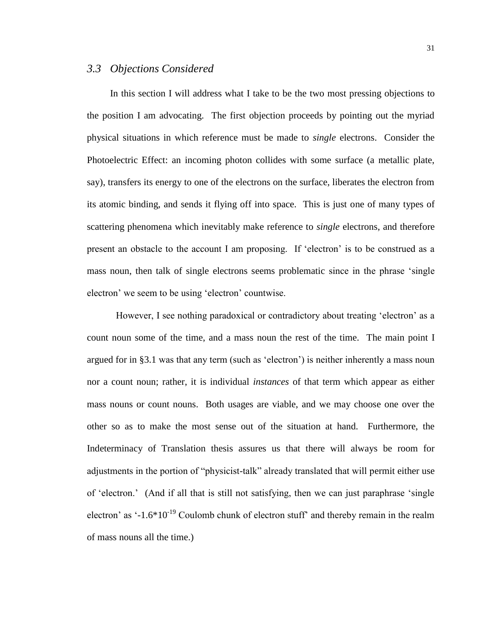## *3.3 Objections Considered*

In this section I will address what I take to be the two most pressing objections to the position I am advocating. The first objection proceeds by pointing out the myriad physical situations in which reference must be made to *single* electrons. Consider the Photoelectric Effect: an incoming photon collides with some surface (a metallic plate, say), transfers its energy to one of the electrons on the surface, liberates the electron from its atomic binding, and sends it flying off into space. This is just one of many types of scattering phenomena which inevitably make reference to *single* electrons, and therefore present an obstacle to the account I am proposing. If 'electron' is to be construed as a mass noun, then talk of single electrons seems problematic since in the phrase 'single electron' we seem to be using 'electron' countwise.

However, I see nothing paradoxical or contradictory about treating 'electron' as a count noun some of the time, and a mass noun the rest of the time. The main point I argued for in §3.1 was that any term (such as 'electron') is neither inherently a mass noun nor a count noun; rather, it is individual *instances* of that term which appear as either mass nouns or count nouns. Both usages are viable, and we may choose one over the other so as to make the most sense out of the situation at hand. Furthermore, the Indeterminacy of Translation thesis assures us that there will always be room for adjustments in the portion of "physicist-talk" already translated that will permit either use of 'electron.' (And if all that is still not satisfying, then we can just paraphrase 'single electron' as  $\cdot$ -1.6\*10<sup>-19</sup> Coulomb chunk of electron stuff' and thereby remain in the realm of mass nouns all the time.)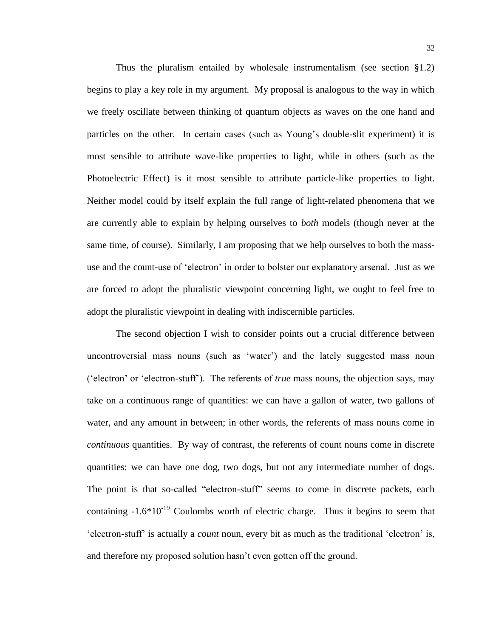Thus the pluralism entailed by wholesale instrumentalism (see section  $\S1.2$ ) begins to play a key role in my argument. My proposal is analogous to the way in which we freely oscillate between thinking of quantum objects as waves on the one hand and particles on the other. In certain cases (such as Young's double-slit experiment) it is most sensible to attribute wave-like properties to light, while in others (such as the Photoelectric Effect) is it most sensible to attribute particle-like properties to light. Neither model could by itself explain the full range of light-related phenomena that we are currently able to explain by helping ourselves to *both* models (though never at the same time, of course). Similarly, I am proposing that we help ourselves to both the massuse and the count-use of 'electron' in order to bolster our explanatory arsenal. Just as we are forced to adopt the pluralistic viewpoint concerning light, we ought to feel free to adopt the pluralistic viewpoint in dealing with indiscernible particles.

The second objection I wish to consider points out a crucial difference between uncontroversial mass nouns (such as 'water') and the lately suggested mass noun ('electron' or 'electron-stuff'). The referents of *true* mass nouns, the objection says, may take on a continuous range of quantities: we can have a gallon of water, two gallons of water, and any amount in between; in other words, the referents of mass nouns come in *continuous* quantities. By way of contrast, the referents of count nouns come in discrete quantities: we can have one dog, two dogs, but not any intermediate number of dogs. The point is that so-called "electron-stuff" seems to come in discrete packets, each containing  $-1.6*10^{-19}$  Coulombs worth of electric charge. Thus it begins to seem that 'electron-stuff' is actually a *count* noun, every bit as much as the traditional 'electron' is, and therefore my proposed solution hasn't even gotten off the ground.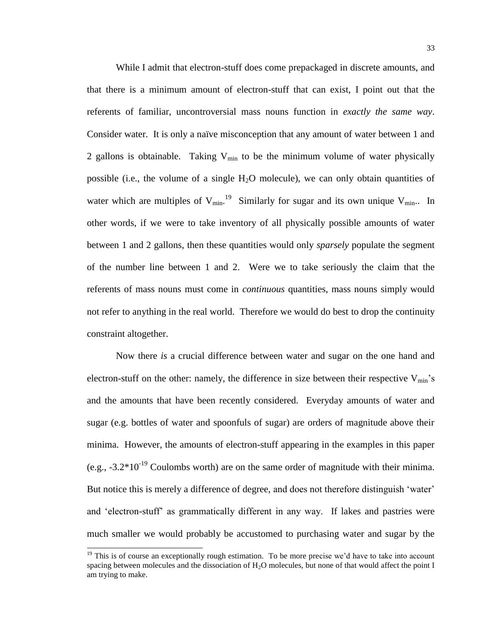While I admit that electron-stuff does come prepackaged in discrete amounts, and that there is a minimum amount of electron-stuff that can exist, I point out that the referents of familiar, uncontroversial mass nouns function in *exactly the same way*. Consider water. It is only a naïve misconception that any amount of water between 1 and 2 gallons is obtainable. Taking  $V_{\text{min}}$  to be the minimum volume of water physically possible (i.e., the volume of a single  $H_2O$  molecule), we can only obtain quantities of water which are multiples of  $V_{min}$ .<sup>19</sup> Similarly for sugar and its own unique  $V_{min}$ . In other words, if we were to take inventory of all physically possible amounts of water between 1 and 2 gallons, then these quantities would only *sparsely* populate the segment of the number line between 1 and 2. Were we to take seriously the claim that the referents of mass nouns must come in *continuous* quantities, mass nouns simply would not refer to anything in the real world. Therefore we would do best to drop the continuity constraint altogether.

Now there *is* a crucial difference between water and sugar on the one hand and electron-stuff on the other: namely, the difference in size between their respective  $V_{min}$ 's and the amounts that have been recently considered. Everyday amounts of water and sugar (e.g. bottles of water and spoonfuls of sugar) are orders of magnitude above their minima. However, the amounts of electron-stuff appearing in the examples in this paper (e.g.,  $-3.2*10^{-19}$  Coulombs worth) are on the same order of magnitude with their minima. But notice this is merely a difference of degree, and does not therefore distinguish 'water' and 'electron-stuff' as grammatically different in any way. If lakes and pastries were much smaller we would probably be accustomed to purchasing water and sugar by the

 $19$  This is of course an exceptionally rough estimation. To be more precise we'd have to take into account spacing between molecules and the dissociation of  $H_2O$  molecules, but none of that would affect the point I am trying to make.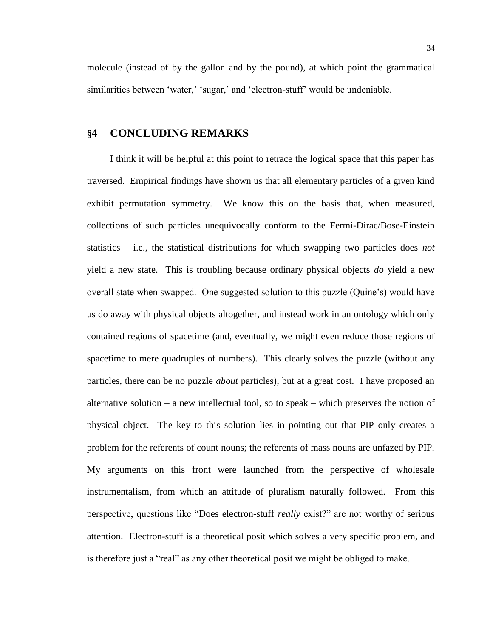molecule (instead of by the gallon and by the pound), at which point the grammatical similarities between 'water,' 'sugar,' and 'electron-stuff' would be undeniable.

## **§4 CONCLUDING REMARKS**

I think it will be helpful at this point to retrace the logical space that this paper has traversed. Empirical findings have shown us that all elementary particles of a given kind exhibit permutation symmetry. We know this on the basis that, when measured, collections of such particles unequivocally conform to the Fermi-Dirac/Bose-Einstein statistics – i.e., the statistical distributions for which swapping two particles does *not* yield a new state. This is troubling because ordinary physical objects *do* yield a new overall state when swapped. One suggested solution to this puzzle (Quine's) would have us do away with physical objects altogether, and instead work in an ontology which only contained regions of spacetime (and, eventually, we might even reduce those regions of spacetime to mere quadruples of numbers). This clearly solves the puzzle (without any particles, there can be no puzzle *about* particles), but at a great cost. I have proposed an alternative solution – a new intellectual tool, so to speak – which preserves the notion of physical object. The key to this solution lies in pointing out that PIP only creates a problem for the referents of count nouns; the referents of mass nouns are unfazed by PIP. My arguments on this front were launched from the perspective of wholesale instrumentalism, from which an attitude of pluralism naturally followed. From this perspective, questions like "Does electron-stuff *really* exist?" are not worthy of serious attention. Electron-stuff is a theoretical posit which solves a very specific problem, and is therefore just a "real" as any other theoretical posit we might be obliged to make.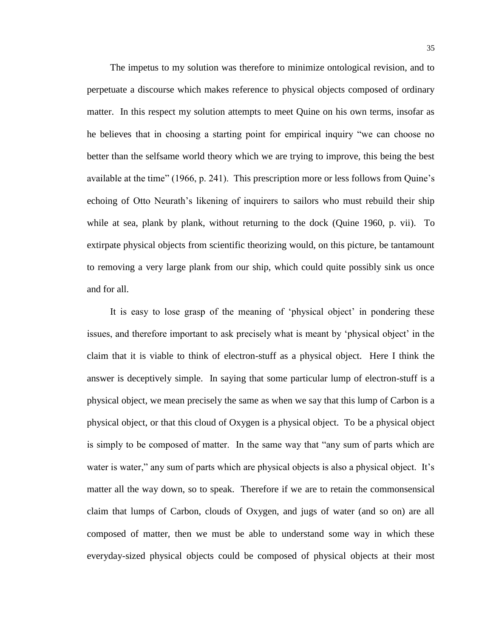The impetus to my solution was therefore to minimize ontological revision, and to perpetuate a discourse which makes reference to physical objects composed of ordinary matter. In this respect my solution attempts to meet Quine on his own terms, insofar as he believes that in choosing a starting point for empirical inquiry "we can choose no better than the selfsame world theory which we are trying to improve, this being the best available at the time" (1966, p. 241). This prescription more or less follows from Quine's echoing of Otto Neurath's likening of inquirers to sailors who must rebuild their ship while at sea, plank by plank, without returning to the dock (Quine 1960, p. vii). To extirpate physical objects from scientific theorizing would, on this picture, be tantamount to removing a very large plank from our ship, which could quite possibly sink us once and for all.

It is easy to lose grasp of the meaning of 'physical object' in pondering these issues, and therefore important to ask precisely what is meant by 'physical object' in the claim that it is viable to think of electron-stuff as a physical object. Here I think the answer is deceptively simple. In saying that some particular lump of electron-stuff is a physical object, we mean precisely the same as when we say that this lump of Carbon is a physical object, or that this cloud of Oxygen is a physical object. To be a physical object is simply to be composed of matter. In the same way that "any sum of parts which are water is water," any sum of parts which are physical objects is also a physical object. It's matter all the way down, so to speak. Therefore if we are to retain the commonsensical claim that lumps of Carbon, clouds of Oxygen, and jugs of water (and so on) are all composed of matter, then we must be able to understand some way in which these everyday-sized physical objects could be composed of physical objects at their most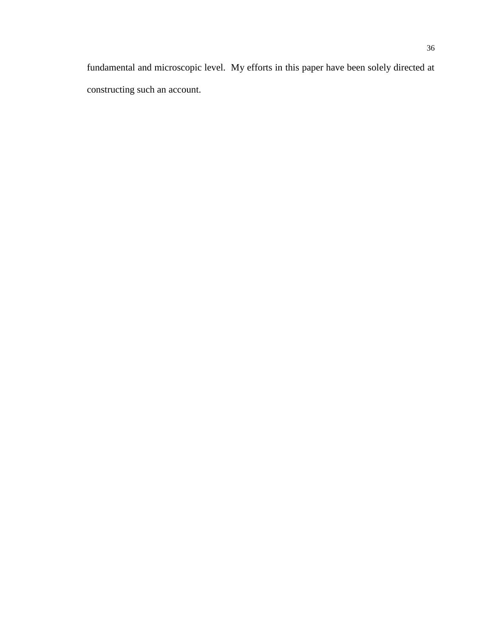fundamental and microscopic level. My efforts in this paper have been solely directed at constructing such an account.